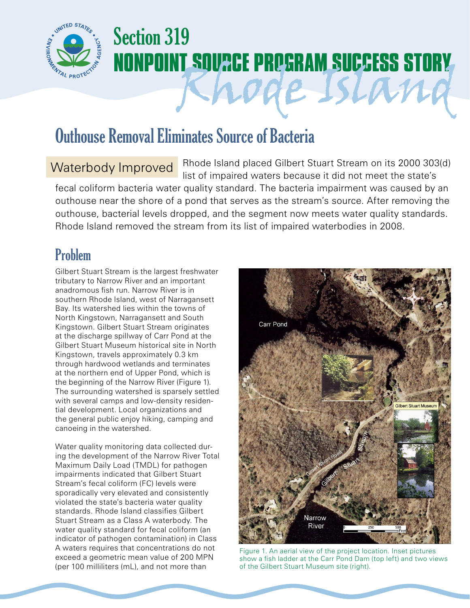

# Section 319 **NONPOINT SOURCE PROGRAM SUCCESS STORY**

## Outhouse Removal Eliminates Source of Bacteria

Waterbody Improved Rhode Island placed Gilbert Stuart Stream on its 2000 303(d) list of impaired waters because it did not meet the state's fecal coliform bacteria water quality standard. The bacteria impairment was caused by an outhouse near the shore of a pond that serves as the stream's source. After removing the outhouse, bacterial levels dropped, and the segment now meets water quality standards. Rhode Island removed the stream from its list of impaired waterbodies in 2008.

## Problem

Gilbert Stuart Stream is the largest freshwater tributary to Narrow River and an important anadromous fish run. Narrow River is in southern Rhode Island, west of Narragansett Bay. Its watershed lies within the towns of North Kingstown, Narragansett and South Kingstown. Gilbert Stuart Stream originates at the discharge spillway of Carr Pond at the Gilbert Stuart Museum historical site in North Kingstown, travels approximately 0.3 km through hardwood wetlands and terminates at the northern end of Upper Pond, which is the beginning of the Narrow River (Figure 1). The surrounding watershed is sparsely settled with several camps and low-density residential development. Local organizations and the general public enjoy hiking, camping and canoeing in the watershed.

Water quality monitoring data collected during the development of the Narrow River Total Maximum Daily Load (TMDL) for pathogen impairments indicated that Gilbert Stuart Stream's fecal coliform (FC) levels were sporadically very elevated and consistently violated the state's bacteria water quality standards. Rhode Island classifies Gilbert Stuart Stream as a Class A waterbody. The water quality standard for fecal coliform (an indicator of pathogen contamination) in Class A waters requires that concentrations do not exceed a geometric mean value of 200 MPN (per 100 milliliters (mL), and not more than



de Island

Figure 1. An aerial view of the project location. Inset pictures show a fish ladder at the Carr Pond Dam (top left) and two views of the Gilbert Stuart Museum site (right).